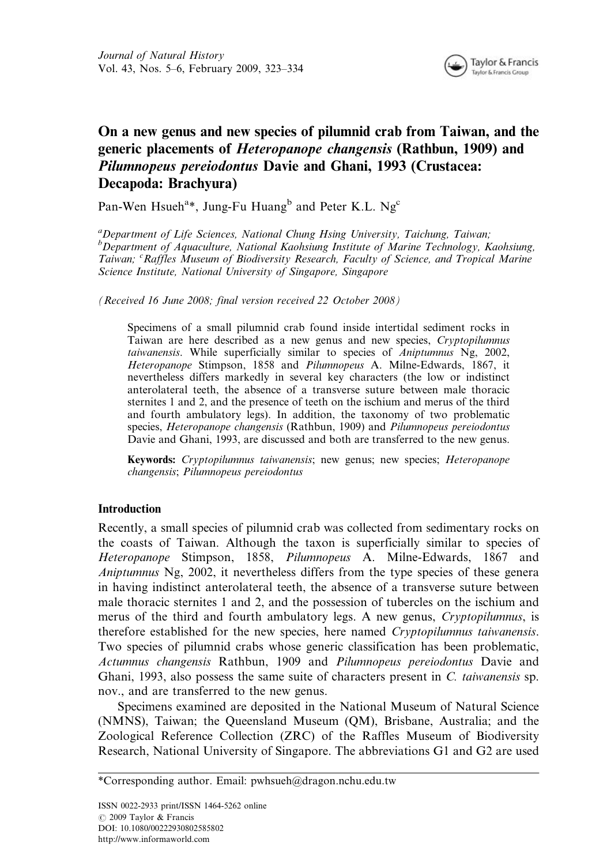

# On a new genus and new species of pilumnid crab from Taiwan, and the generic placements of Heteropanope changensis (Rathbun, 1909) and Pilumnopeus pereiodontus Davie and Ghani, 1993 (Crustacea: Decapoda: Brachyura)

Pan-Wen Hsueh<sup>a\*</sup>, Jung-Fu Huang<sup>b</sup> and Peter K.L. Ng<sup>c</sup>

<sup>a</sup>Department of Life Sciences, National Chung Hsing University, Taichung, Taiwan; <sup>b</sup>Department of Aquaculture, National Kaohsiung Institute of Marine Technology, Kaohsiung, Taiwan; <sup>c</sup> Raffles Museum of Biodiversity Research, Faculty of Science, and Tropical Marine Science Institute, National University of Singapore, Singapore

(Received 16 June 2008; final version received 22 October 2008)

Specimens of a small pilumnid crab found inside intertidal sediment rocks in Taiwan are here described as a new genus and new species, Cryptopilumnus taiwanensis. While superficially similar to species of Aniptumnus Ng, 2002, Heteropanope Stimpson, 1858 and Pilumnopeus A. Milne-Edwards, 1867, it nevertheless differs markedly in several key characters (the low or indistinct anterolateral teeth, the absence of a transverse suture between male thoracic sternites 1 and 2, and the presence of teeth on the ischium and merus of the third and fourth ambulatory legs). In addition, the taxonomy of two problematic species, Heteropanope changensis (Rathbun, 1909) and Pilumnopeus pereiodontus Davie and Ghani, 1993, are discussed and both are transferred to the new genus.

Keywords: Cryptopilumnus taiwanensis; new genus; new species; Heteropanope changensis; Pilumnopeus pereiodontus

## **Introduction**

Recently, a small species of pilumnid crab was collected from sedimentary rocks on the coasts of Taiwan. Although the taxon is superficially similar to species of Heteropanope Stimpson, 1858, Pilumnopeus A. Milne-Edwards, 1867 and Aniptumnus Ng, 2002, it nevertheless differs from the type species of these genera in having indistinct anterolateral teeth, the absence of a transverse suture between male thoracic sternites 1 and 2, and the possession of tubercles on the ischium and merus of the third and fourth ambulatory legs. A new genus, Cryptopilumnus, is therefore established for the new species, here named Cryptopilumnus taiwanensis. Two species of pilumnid crabs whose generic classification has been problematic, Actumnus changensis Rathbun, 1909 and Pilumnopeus pereiodontus Davie and Ghani, 1993, also possess the same suite of characters present in C. taiwanensis sp. nov., and are transferred to the new genus.

Specimens examined are deposited in the National Museum of Natural Science (NMNS), Taiwan; the Queensland Museum (QM), Brisbane, Australia; and the Zoological Reference Collection (ZRC) of the Raffles Museum of Biodiversity Research, National University of Singapore. The abbreviations G1 and G2 are used

<sup>\*</sup>Corresponding author. Email: pwhsueh@dragon.nchu.edu.tw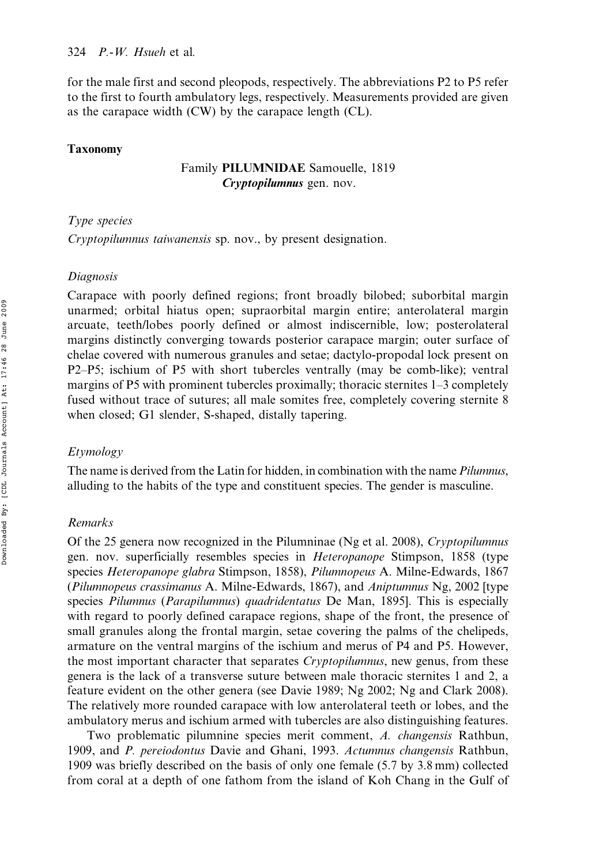for the male first and second pleopods, respectively. The abbreviations P2 to P5 refer to the first to fourth ambulatory legs, respectively. Measurements provided are given as the carapace width (CW) by the carapace length (CL).

#### Taxonomy

## Family PILUMNIDAE Samouelle, 1819 Cryptopilumnus gen. nov.

## Type species

Cryptopilumnus taiwanensis sp. nov., by present designation.

## Diagnosis

Carapace with poorly defined regions; front broadly bilobed; suborbital margin unarmed; orbital hiatus open; supraorbital margin entire; anterolateral margin arcuate, teeth/lobes poorly defined or almost indiscernible, low; posterolateral margins distinctly converging towards posterior carapace margin; outer surface of chelae covered with numerous granules and setae; dactylo-propodal lock present on P2–P5; ischium of P5 with short tubercles ventrally (may be comb-like); ventral margins of P5 with prominent tubercles proximally; thoracic sternites 1–3 completely fused without trace of sutures; all male somites free, completely covering sternite 8 when closed; G1 slender, S-shaped, distally tapering.

## Etymology

The name is derived from the Latin for hidden, in combination with the name Pilumnus, alluding to the habits of the type and constituent species. The gender is masculine.

## Remarks

Of the 25 genera now recognized in the Pilumninae (Ng et al. 2008), Cryptopilumnus gen. nov. superficially resembles species in Heteropanope Stimpson, 1858 (type species Heteropanope glabra Stimpson, 1858), Pilumnopeus A. Milne-Edwards, 1867 (Pilumnopeus crassimanus A. Milne-Edwards, 1867), and Aniptumnus Ng, 2002 [type species Pilumnus (Parapilumnus) quadridentatus De Man, 1895]. This is especially with regard to poorly defined carapace regions, shape of the front, the presence of small granules along the frontal margin, setae covering the palms of the chelipeds, armature on the ventral margins of the ischium and merus of P4 and P5. However, the most important character that separates *Cryptopilumnus*, new genus, from these genera is the lack of a transverse suture between male thoracic sternites 1 and 2, a feature evident on the other genera (see Davie 1989; Ng 2002; Ng and Clark 2008). The relatively more rounded carapace with low anterolateral teeth or lobes, and the ambulatory merus and ischium armed with tubercles are also distinguishing features.

Two problematic pilumnine species merit comment, A. changensis Rathbun, 1909, and P. pereiodontus Davie and Ghani, 1993. Actumnus changensis Rathbun, 1909 was briefly described on the basis of only one female (5.7 by 3.8 mm) collected from coral at a depth of one fathom from the island of Koh Chang in the Gulf of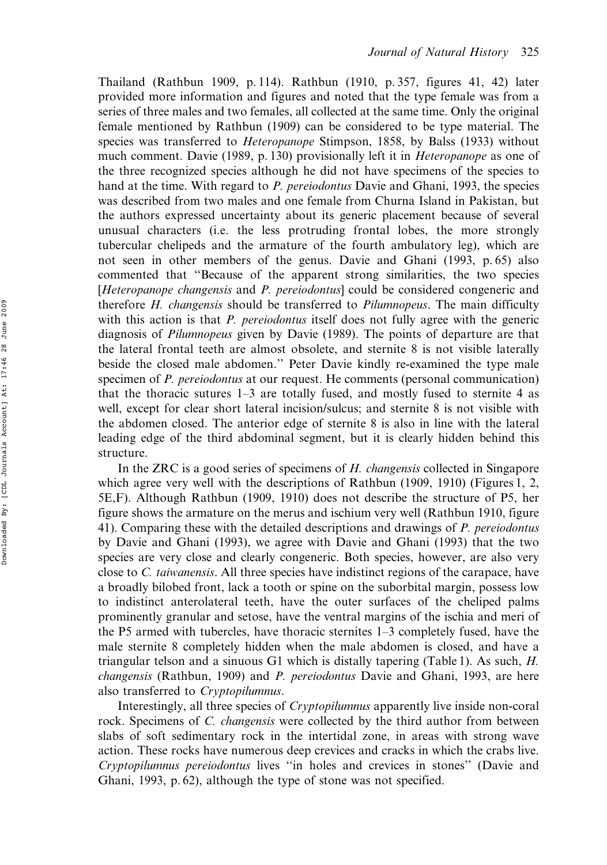Thailand (Rathbun 1909, p. 114). Rathbun (1910, p. 357, figures 41, 42) later provided more information and figures and noted that the type female was from a series of three males and two females, all collected at the same time. Only the original female mentioned by Rathbun (1909) can be considered to be type material. The species was transferred to *Heteropanope* Stimpson, 1858, by Balss (1933) without much comment. Davie (1989, p. 130) provisionally left it in Heteropanope as one of the three recognized species although he did not have specimens of the species to hand at the time. With regard to P. pereiodontus Davie and Ghani, 1993, the species was described from two males and one female from Churna Island in Pakistan, but the authors expressed uncertainty about its generic placement because of several unusual characters (i.e. the less protruding frontal lobes, the more strongly tubercular chelipeds and the armature of the fourth ambulatory leg), which are not seen in other members of the genus. Davie and Ghani (1993, p. 65) also commented that ''Because of the apparent strong similarities, the two species [Heteropanope changensis and P. pereiodontus] could be considered congeneric and therefore *H. changensis* should be transferred to *Pilumnopeus*. The main difficulty with this action is that *P. pereiodontus* itself does not fully agree with the generic diagnosis of Pilumnopeus given by Davie (1989). The points of departure are that the lateral frontal teeth are almost obsolete, and sternite 8 is not visible laterally beside the closed male abdomen.'' Peter Davie kindly re-examined the type male specimen of P. pereiodontus at our request. He comments (personal communication) that the thoracic sutures 1–3 are totally fused, and mostly fused to sternite 4 as well, except for clear short lateral incision/sulcus; and sternite 8 is not visible with the abdomen closed. The anterior edge of sternite 8 is also in line with the lateral leading edge of the third abdominal segment, but it is clearly hidden behind this structure.

In the ZRC is a good series of specimens of H. changensis collected in Singapore which agree very well with the descriptions of Rathbun (1909, 1910) (Figures 1, 2, 5E,F). Although Rathbun (1909, 1910) does not describe the structure of P5, her figure shows the armature on the merus and ischium very well (Rathbun 1910, figure 41). Comparing these with the detailed descriptions and drawings of P. pereiodontus by Davie and Ghani (1993), we agree with Davie and Ghani (1993) that the two species are very close and clearly congeneric. Both species, however, are also very close to *C. taiwanensis.* All three species have indistinct regions of the carapace, have a broadly bilobed front, lack a tooth or spine on the suborbital margin, possess low to indistinct anterolateral teeth, have the outer surfaces of the cheliped palms prominently granular and setose, have the ventral margins of the ischia and meri of the P5 armed with tubercles, have thoracic sternites 1–3 completely fused, have the male sternite 8 completely hidden when the male abdomen is closed, and have a triangular telson and a sinuous G1 which is distally tapering (Table 1). As such, H. changensis (Rathbun, 1909) and P. pereiodontus Davie and Ghani, 1993, are here also transferred to Cryptopilumnus.

Interestingly, all three species of Cryptopilumnus apparently live inside non-coral rock. Specimens of C. changensis were collected by the third author from between slabs of soft sedimentary rock in the intertidal zone, in areas with strong wave action. These rocks have numerous deep crevices and cracks in which the crabs live. Cryptopilumnus pereiodontus lives ''in holes and crevices in stones'' (Davie and Ghani, 1993, p. 62), although the type of stone was not specified.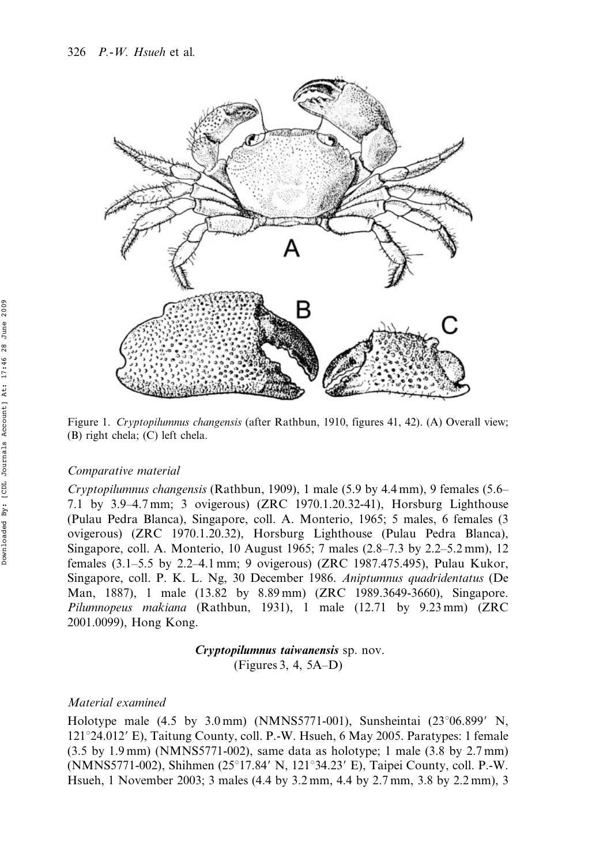

Figure 1. Cryptopilumnus changensis (after Rathbun, 1910, figures 41, 42). (A) Overall view; (B) right chela; (C) left chela.

## Comparative material

Cryptopilumnus changensis (Rathbun, 1909), 1 male (5.9 by 4.4 mm), 9 females (5.6– 7.1 by 3.9–4.7 mm; 3 ovigerous) (ZRC 1970.1.20.32-41), Horsburg Lighthouse (Pulau Pedra Blanca), Singapore, coll. A. Monterio, 1965; 5 males, 6 females (3 ovigerous) (ZRC 1970.1.20.32), Horsburg Lighthouse (Pulau Pedra Blanca), Singapore, coll. A. Monterio, 10 August 1965; 7 males (2.8–7.3 by 2.2–5.2 mm), 12 females (3.1–5.5 by 2.2–4.1 mm; 9 ovigerous) (ZRC 1987.475.495), Pulau Kukor, Singapore, coll. P. K. L. Ng, 30 December 1986. Aniptumnus quadridentatus (De Man, 1887), 1 male (13.82 by 8.89 mm) (ZRC 1989.3649-3660), Singapore. Pilumnopeus makiana (Rathbun, 1931), 1 male (12.71 by 9.23 mm) (ZRC 2001.0099), Hong Kong.

> Cryptopilumnus taiwanensis sp. nov. (Figures 3, 4, 5A–D)

## Material examined

Holotype male  $(4.5 \text{ by } 3.0 \text{ mm})$  (NMNS5771-001), Sunsheintai  $(23^{\circ}06.899' \text{ N},$  $121^{\circ}24.012'$  E), Taitung County, coll. P.-W. Hsueh, 6 May 2005. Paratypes: 1 female (3.5 by 1.9 mm) (NMNS5771-002), same data as holotype; 1 male (3.8 by 2.7 mm) (NMNS5771-002), Shihmen (25°17.84′ N, 121°34.23′ E), Taipei County, coll. P.-W. Hsueh, 1 November 2003; 3 males (4.4 by 3.2 mm, 4.4 by 2.7 mm, 3.8 by 2.2 mm), 3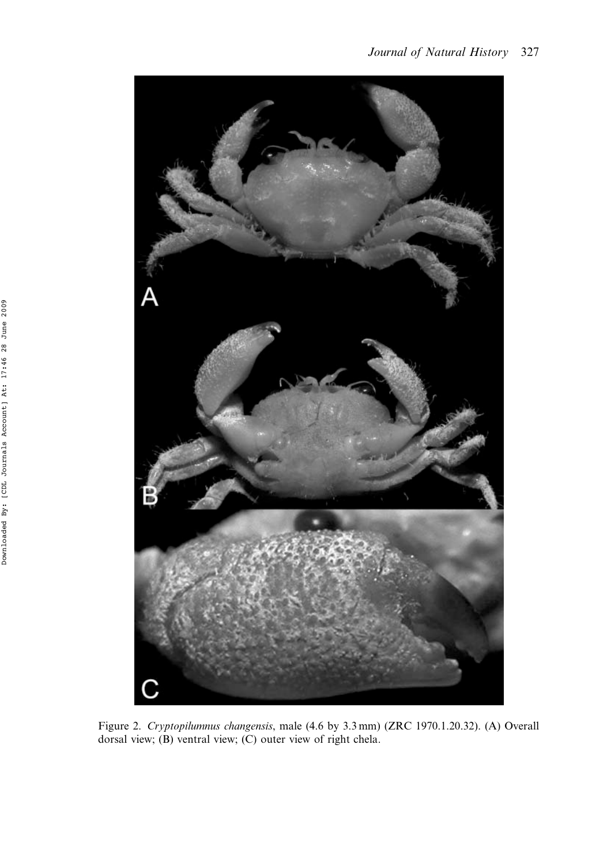

Figure 2. Cryptopilumnus changensis, male (4.6 by 3.3 mm) (ZRC 1970.1.20.32). (A) Overall dorsal view; (B) ventral view; (C) outer view of right chela.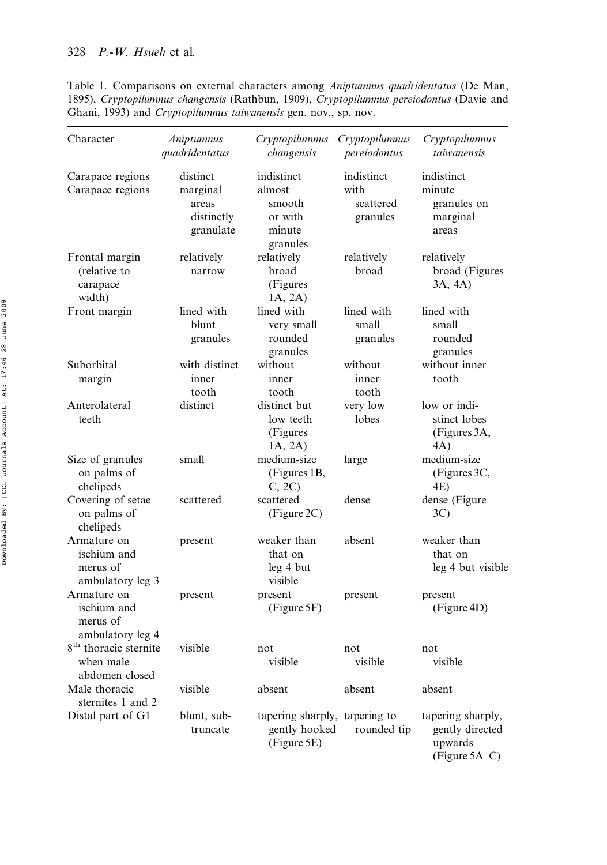Table 1. Comparisons on external characters among Aniptumnus quadridentatus (De Man, 1895), Cryptopilumnus changensis (Rathbun, 1909), Cryptopilumnus pereiodontus (Davie and Ghani, 1993) and Cryptopilumnus taiwanensis gen. nov., sp. nov.

| Character                                                        | Aniptumnus<br>quadridentatus                             | Cryptopilumnus<br>changensis                                  | Cryptopilumnus<br>pereiodontus              | Cryptopilumnus<br>taiwanensis                                    |
|------------------------------------------------------------------|----------------------------------------------------------|---------------------------------------------------------------|---------------------------------------------|------------------------------------------------------------------|
| Carapace regions<br>Carapace regions                             | distinct<br>marginal<br>areas<br>distinctly<br>granulate | indistinct<br>almost<br>smooth<br>or with<br>minute           | indistinct<br>with<br>scattered<br>granules | indistinct<br>minute<br>granules on<br>marginal<br>areas         |
| Frontal margin<br>(relative to<br>carapace<br>width)             | relatively<br>narrow                                     | granules<br>relatively<br>broad<br>(Figures<br>1A, 2A)        | relatively<br>broad                         | relatively<br>broad (Figures<br>3A, 4A)                          |
| Front margin                                                     | lined with<br>blunt<br>granules                          | lined with<br>very small<br>rounded<br>granules               | lined with<br>small<br>granules             | lined with<br>small<br>rounded<br>granules                       |
| Suborbital<br>margin                                             | with distinct<br>inner<br>tooth                          | without<br>inner<br>tooth                                     | without<br>inner<br>tooth                   | without inner<br>tooth                                           |
| Anterolateral<br>teeth                                           | distinct                                                 | distinct but<br>low teeth<br>(Figures<br>1A, 2A)              | very low<br>lobes                           | low or indi-<br>stinct lobes<br>(Figures 3A,<br>4A)              |
| Size of granules<br>on palms of<br>chelipeds                     | small                                                    | medium-size<br>(Figures 1B,<br>C, 2C                          | large                                       | medium-size<br>(Figures 3C,<br>4E)                               |
| Covering of setae<br>on palms of<br>chelipeds                    | scattered                                                | scattered<br>(Figure 2C)                                      | dense                                       | dense (Figure<br>3C)                                             |
| Armature on<br>ischium and<br>merus of<br>ambulatory leg 3       | present                                                  | weaker than<br>that on<br>leg 4 but<br>visible                | absent                                      | weaker than<br>that on<br>leg 4 but visible                      |
| Armature on<br>ischium and<br>merus of<br>ambulatory leg 4       | present                                                  | present<br>(Figure 5F)                                        | present                                     | present<br>(Figure 4D)                                           |
| 8 <sup>th</sup> thoracic sternite<br>when male<br>abdomen closed | visible                                                  | not<br>visible                                                | not<br>visible                              | not<br>visible                                                   |
| Male thoracic<br>sternites 1 and 2                               | visible                                                  | absent                                                        | absent                                      | absent                                                           |
| Distal part of G1                                                | blunt, sub-<br>truncate                                  | tapering sharply, tapering to<br>gently hooked<br>(Figure 5E) | rounded tip                                 | tapering sharply,<br>gently directed<br>upwards<br>(Figure 5A–C) |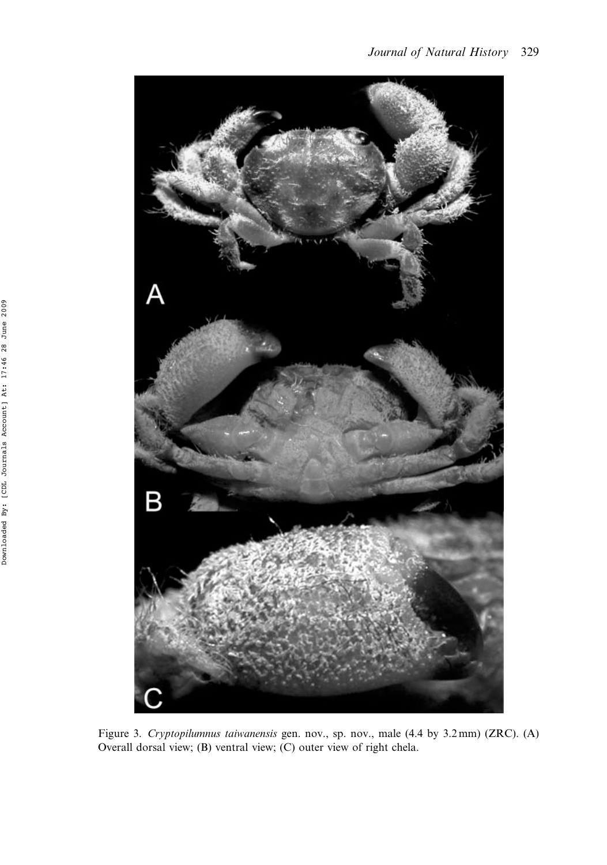

Figure 3. Cryptopilumnus taiwanensis gen. nov., sp. nov., male (4.4 by 3.2 mm) (ZRC). (A) Overall dorsal view; (B) ventral view; (C) outer view of right chela.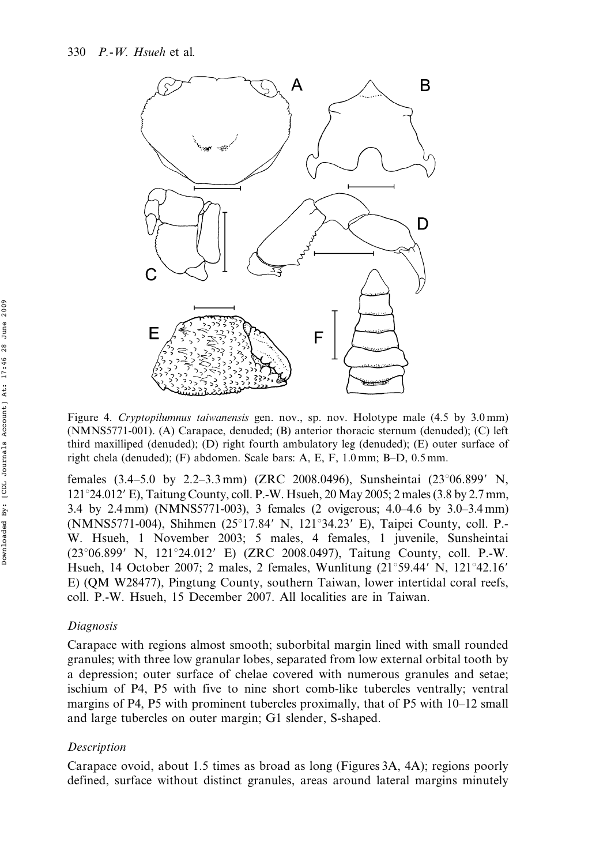

Figure 4. Cryptopilumnus taiwanensis gen. nov., sp. nov. Holotype male (4.5 by 3.0 mm) (NMNS5771-001). (A) Carapace, denuded; (B) anterior thoracic sternum (denuded); (C) left third maxilliped (denuded); (D) right fourth ambulatory leg (denuded); (E) outer surface of right chela (denuded); (F) abdomen. Scale bars: A, E, F, 1.0 mm; B–D, 0.5 mm.

females  $(3.4–5.0 \text{ by } 2.2–3.3 \text{ mm})$  (ZRC 2008.0496), Sunsheintai  $(23^{\circ}06.899' \text{ N},$  $121^{\circ}24.012'$  E), Taitung County, coll. P.-W. Hsueh, 20 May 2005; 2 males (3.8 by 2.7 mm, 3.4 by 2.4 mm) (NMNS5771-003), 3 females (2 ovigerous; 4.0–4.6 by 3.0–3.4 mm) (NMNS5771-004), Shihmen  $(25^{\circ}17.84'$  N,  $121^{\circ}34.23'$  E), Taipei County, coll. P. W. Hsueh, 1 November 2003; 5 males, 4 females, 1 juvenile, Sunsheintai  $(23^{\circ}06.899' \text{ N}, 121^{\circ}24.012' \text{ E})$  (ZRC 2008.0497), Taitung County, coll. P.-W. Hsueh, 14 October 2007; 2 males, 2 females, Wunlitung  $(21^{\circ}59.44^{\prime} N, 121^{\circ}42.16^{\prime} N)$ E) (QM W28477), Pingtung County, southern Taiwan, lower intertidal coral reefs, coll. P.-W. Hsueh, 15 December 2007. All localities are in Taiwan.

## Diagnosis

Carapace with regions almost smooth; suborbital margin lined with small rounded granules; with three low granular lobes, separated from low external orbital tooth by a depression; outer surface of chelae covered with numerous granules and setae; ischium of P4, P5 with five to nine short comb-like tubercles ventrally; ventral margins of P4, P5 with prominent tubercles proximally, that of P5 with 10–12 small and large tubercles on outer margin; G1 slender, S-shaped.

## Description

Carapace ovoid, about 1.5 times as broad as long (Figures 3A, 4A); regions poorly defined, surface without distinct granules, areas around lateral margins minutely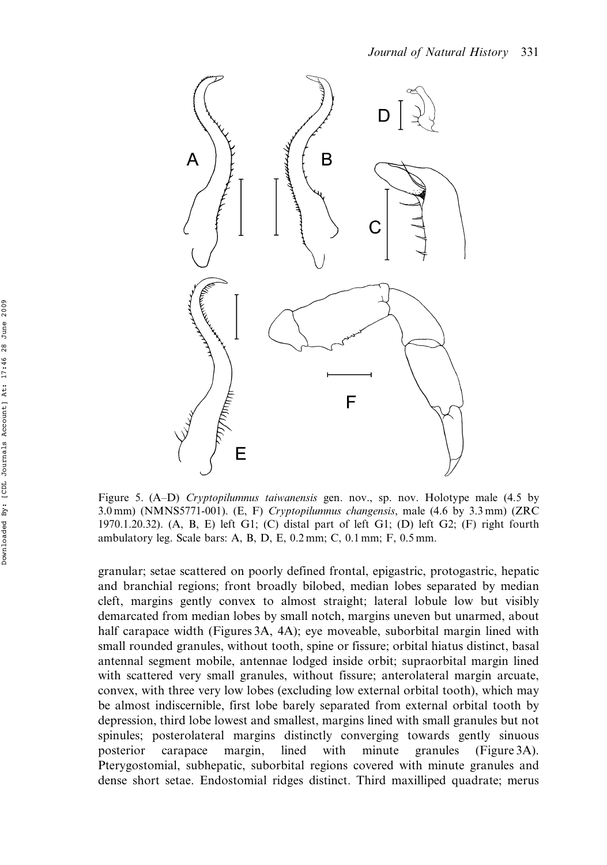

Figure 5. (A–D) Cryptopilumnus taiwanensis gen. nov., sp. nov. Holotype male (4.5 by 3.0 mm) (NMNS5771-001). (E, F) Cryptopilumnus changensis, male (4.6 by 3.3 mm) (ZRC 1970.1.20.32). (A, B, E) left G1; (C) distal part of left G1; (D) left G2; (F) right fourth ambulatory leg. Scale bars: A, B, D, E, 0.2 mm; C, 0.1 mm; F, 0.5 mm.

granular; setae scattered on poorly defined frontal, epigastric, protogastric, hepatic and branchial regions; front broadly bilobed, median lobes separated by median cleft, margins gently convex to almost straight; lateral lobule low but visibly demarcated from median lobes by small notch, margins uneven but unarmed, about half carapace width (Figures 3A, 4A); eye moveable, suborbital margin lined with small rounded granules, without tooth, spine or fissure; orbital hiatus distinct, basal antennal segment mobile, antennae lodged inside orbit; supraorbital margin lined with scattered very small granules, without fissure; anterolateral margin arcuate, convex, with three very low lobes (excluding low external orbital tooth), which may be almost indiscernible, first lobe barely separated from external orbital tooth by depression, third lobe lowest and smallest, margins lined with small granules but not spinules; posterolateral margins distinctly converging towards gently sinuous posterior carapace margin, lined with minute granules (Figure 3A). Pterygostomial, subhepatic, suborbital regions covered with minute granules and dense short setae. Endostomial ridges distinct. Third maxilliped quadrate; merus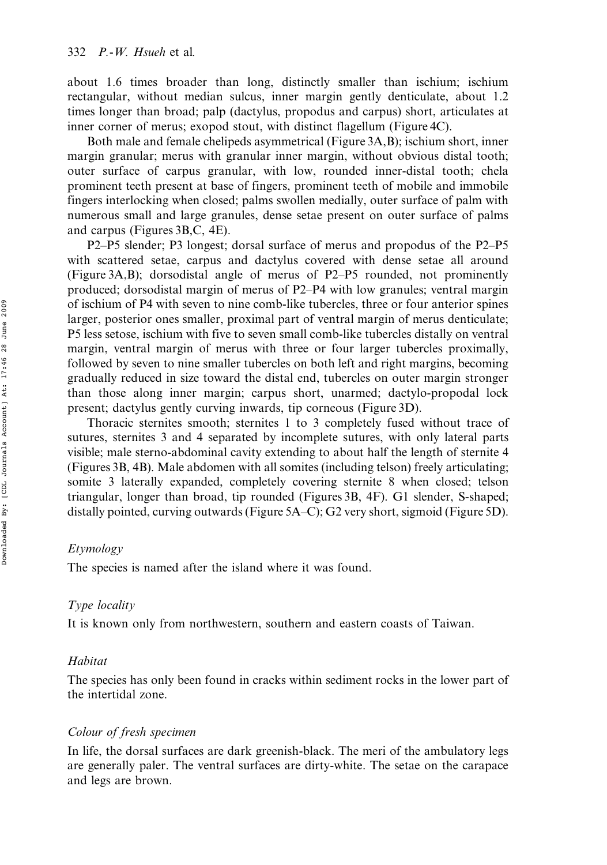about 1.6 times broader than long, distinctly smaller than ischium; ischium rectangular, without median sulcus, inner margin gently denticulate, about 1.2 times longer than broad; palp (dactylus, propodus and carpus) short, articulates at inner corner of merus; exopod stout, with distinct flagellum (Figure 4C).

Both male and female chelipeds asymmetrical (Figure 3A,B); ischium short, inner margin granular; merus with granular inner margin, without obvious distal tooth; outer surface of carpus granular, with low, rounded inner-distal tooth; chela prominent teeth present at base of fingers, prominent teeth of mobile and immobile fingers interlocking when closed; palms swollen medially, outer surface of palm with numerous small and large granules, dense setae present on outer surface of palms and carpus (Figures 3B,C, 4E).

P2–P5 slender; P3 longest; dorsal surface of merus and propodus of the P2–P5 with scattered setae, carpus and dactylus covered with dense setae all around (Figure 3A,B); dorsodistal angle of merus of P2–P5 rounded, not prominently produced; dorsodistal margin of merus of P2–P4 with low granules; ventral margin of ischium of P4 with seven to nine comb-like tubercles, three or four anterior spines larger, posterior ones smaller, proximal part of ventral margin of merus denticulate; P5 less setose, ischium with five to seven small comb-like tubercles distally on ventral margin, ventral margin of merus with three or four larger tubercles proximally, followed by seven to nine smaller tubercles on both left and right margins, becoming gradually reduced in size toward the distal end, tubercles on outer margin stronger than those along inner margin; carpus short, unarmed; dactylo-propodal lock present; dactylus gently curving inwards, tip corneous (Figure 3D).

Thoracic sternites smooth; sternites 1 to 3 completely fused without trace of sutures, sternites 3 and 4 separated by incomplete sutures, with only lateral parts visible; male sterno-abdominal cavity extending to about half the length of sternite 4 (Figures 3B, 4B). Male abdomen with all somites (including telson) freely articulating; somite 3 laterally expanded, completely covering sternite 8 when closed; telson triangular, longer than broad, tip rounded (Figures 3B, 4F). G1 slender, S-shaped; distally pointed, curving outwards (Figure 5A–C); G2 very short, sigmoid (Figure 5D).

## Etymology

The species is named after the island where it was found.

## Type locality

It is known only from northwestern, southern and eastern coasts of Taiwan.

## **Habitat**

The species has only been found in cracks within sediment rocks in the lower part of the intertidal zone.

## Colour of fresh specimen

In life, the dorsal surfaces are dark greenish-black. The meri of the ambulatory legs are generally paler. The ventral surfaces are dirty-white. The setae on the carapace and legs are brown.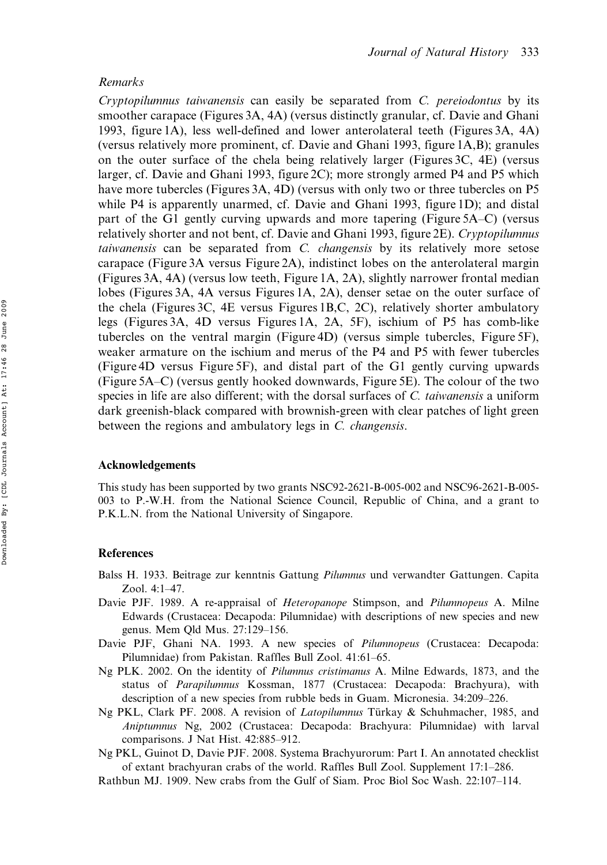## Remarks

Cryptopilumnus taiwanensis can easily be separated from C. pereiodontus by its smoother carapace (Figures 3A, 4A) (versus distinctly granular, cf. Davie and Ghani 1993, figure 1A), less well-defined and lower anterolateral teeth (Figures 3A, 4A) (versus relatively more prominent, cf. Davie and Ghani 1993, figure 1A,B); granules on the outer surface of the chela being relatively larger (Figures 3C, 4E) (versus larger, cf. Davie and Ghani 1993, figure 2C); more strongly armed P4 and P5 which have more tubercles (Figures 3A, 4D) (versus with only two or three tubercles on P5 while P4 is apparently unarmed, cf. Davie and Ghani 1993, figure 1D); and distal part of the G1 gently curving upwards and more tapering (Figure 5A–C) (versus relatively shorter and not bent, cf. Davie and Ghani 1993, figure 2E). Cryptopilumnus taiwanensis can be separated from C. changensis by its relatively more setose carapace (Figure 3A versus Figure 2A), indistinct lobes on the anterolateral margin (Figures 3A, 4A) (versus low teeth, Figure 1A, 2A), slightly narrower frontal median lobes (Figures 3A, 4A versus Figures 1A, 2A), denser setae on the outer surface of the chela (Figures 3C, 4E versus Figures 1B,C, 2C), relatively shorter ambulatory legs (Figures 3A, 4D versus Figures 1A, 2A, 5F), ischium of P5 has comb-like tubercles on the ventral margin (Figure 4D) (versus simple tubercles, Figure 5F), weaker armature on the ischium and merus of the P4 and P5 with fewer tubercles (Figure 4D versus Figure 5F), and distal part of the G1 gently curving upwards (Figure 5A–C) (versus gently hooked downwards, Figure 5E). The colour of the two species in life are also different; with the dorsal surfaces of C. taiwanensis a uniform dark greenish-black compared with brownish-green with clear patches of light green between the regions and ambulatory legs in C. changensis.

## Acknowledgements

This study has been supported by two grants NSC92-2621-B-005-002 and NSC96-2621-B-005- 003 to P.-W.H. from the National Science Council, Republic of China, and a grant to P.K.L.N. from the National University of Singapore.

## References

- Balss H. 1933. Beitrage zur kenntnis Gattung Pilumnus und verwandter Gattungen. Capita Zool. 4:1–47.
- Davie PJF. 1989. A re-appraisal of Heteropanope Stimpson, and Pilumnopeus A. Milne Edwards (Crustacea: Decapoda: Pilumnidae) with descriptions of new species and new genus. Mem Qld Mus. 27:129–156.
- Davie PJF, Ghani NA. 1993. A new species of Pilumnopeus (Crustacea: Decapoda: Pilumnidae) from Pakistan. Raffles Bull Zool. 41:61–65.
- Ng PLK. 2002. On the identity of Pilumnus cristimanus A. Milne Edwards, 1873, and the status of Parapilumnus Kossman, 1877 (Crustacea: Decapoda: Brachyura), with description of a new species from rubble beds in Guam. Micronesia. 34:209–226.
- Ng PKL, Clark PF. 2008. A revision of *Latopilumnus* Türkay & Schuhmacher, 1985, and Aniptumnus Ng, 2002 (Crustacea: Decapoda: Brachyura: Pilumnidae) with larval comparisons. J Nat Hist. 42:885–912.
- Ng PKL, Guinot D, Davie PJF. 2008. Systema Brachyurorum: Part I. An annotated checklist of extant brachyuran crabs of the world. Raffles Bull Zool. Supplement 17:1–286.
- Rathbun MJ. 1909. New crabs from the Gulf of Siam. Proc Biol Soc Wash. 22:107–114.